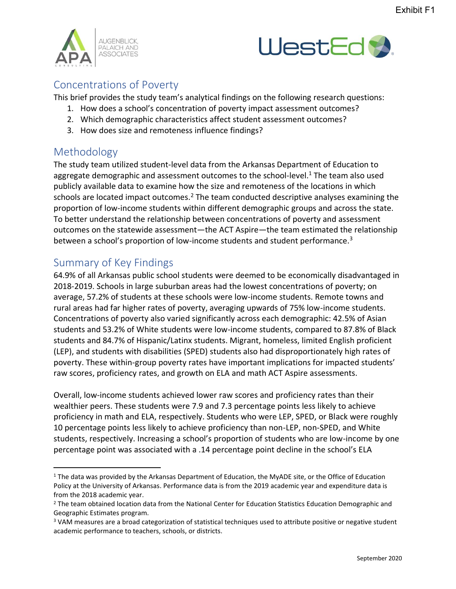



## Concentrations of Poverty

This brief provides the study team's analytical findings on the following research questions:

- 1. How does a school's concentration of poverty impact assessment outcomes?
- 2. Which demographic characteristics affect student assessment outcomes?
- 3. How does size and remoteness influence findings?

## Methodology

The study team utilized student-level data from the Arkansas Department of Education to aggregate demographic and assessment outcomes to the school-level.<sup>1</sup> The team also used publicly available data to examine how the size and remoteness of the locations in which schools are located impact outcomes.<sup>2</sup> The team conducted descriptive analyses examining the proportion of low-income students within different demographic groups and across the state. To better understand the relationship between concentrations of poverty and assessment outcomes on the statewide assessment—the ACT Aspire—the team estimated the relationship between a school's proportion of low-income students and student performance.<sup>3</sup>

## Summary of Key Findings

64.9% of all Arkansas public school students were deemed to be economically disadvantaged in 2018-2019. Schools in large suburban areas had the lowest concentrations of poverty; on average, 57.2% of students at these schools were low-income students. Remote towns and rural areas had far higher rates of poverty, averaging upwards of 75% low-income students. Concentrations of poverty also varied significantly across each demographic: 42.5% of Asian students and 53.2% of White students were low-income students, compared to 87.8% of Black students and 84.7% of Hispanic/Latinx students. Migrant, homeless, limited English proficient (LEP), and students with disabilities (SPED) students also had disproportionately high rates of poverty. These within-group poverty rates have important implications for impacted students' raw scores, proficiency rates, and growth on ELA and math ACT Aspire assessments.

Overall, low-income students achieved lower raw scores and proficiency rates than their wealthier peers. These students were 7.9 and 7.3 percentage points less likely to achieve proficiency in math and ELA, respectively. Students who were LEP, SPED, or Black were roughly 10 percentage points less likely to achieve proficiency than non-LEP, non-SPED, and White students, respectively. Increasing a school's proportion of students who are low-income by one percentage point was associated with a .14 percentage point decline in the school's ELA

<sup>&</sup>lt;sup>1</sup> The data was provided by the Arkansas Department of Education, the MyADE site, or the Office of Education Policy at the University of Arkansas. Performance data is from the 2019 academic year and expenditure data is from the 2018 academic year.

<sup>&</sup>lt;sup>2</sup> The team obtained location data from the National Center for Education Statistics Education Demographic and Geographic Estimates program.

<sup>&</sup>lt;sup>3</sup> VAM measures are a broad categorization of statistical techniques used to attribute positive or negative student academic performance to teachers, schools, or districts.